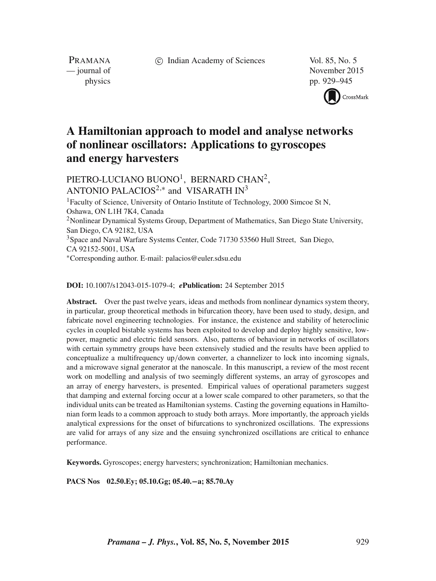c Indian Academy of Sciences Vol. 85, No. 5

PRAMANA<br>
— journal of

November 2015 physics pp. 929–945



# **A Hamiltonian approach to model and analyse networks of nonlinear oscillators: Applications to gyroscopes and energy harvesters**

 $\mathrm{PIETRO\text{-}LUCIANO}$   $\mathrm{BUONO}^{1}, \; \mathrm{BERNARD}$   $\mathrm{CHAN}^{2},$ ANTONIO PALACIOS<sup>2,\*</sup> and VISARATH IN<sup>3</sup>

<sup>1</sup>Faculty of Science, University of Ontario Institute of Technology, 2000 Simcoe St N, Oshawa, ON L1H 7K4, Canada <sup>2</sup>Nonlinear Dynamical Systems Group, Department of Mathematics, San Diego State University, San Diego, CA 92182, USA <sup>3</sup>Space and Naval Warfare Systems Center, Code 71730 53560 Hull Street, San Diego, CA 92152-5001, USA ∗Corresponding author. E-mail: palacios@euler.sdsu.edu

#### **DOI:** 10.1007/s12043-015-1079-4; *e***Publication:** 24 September 2015

**Abstract.** Over the past twelve years, ideas and methods from nonlinear dynamics system theory, in particular, group theoretical methods in bifurcation theory, have been used to study, design, and fabricate novel engineering technologies. For instance, the existence and stability of heteroclinic cycles in coupled bistable systems has been exploited to develop and deploy highly sensitive, lowpower, magnetic and electric field sensors. Also, patterns of behaviour in networks of oscillators with certain symmetry groups have been extensively studied and the results have been applied to conceptualize a multifrequency up/down converter, a channelizer to lock into incoming signals, and a microwave signal generator at the nanoscale. In this manuscript, a review of the most recent work on modelling and analysis of two seemingly different systems, an array of gyroscopes and an array of energy harvesters, is presented. Empirical values of operational parameters suggest that damping and external forcing occur at a lower scale compared to other parameters, so that the individual units can be treated as Hamiltonian systems. Casting the governing equations in Hamiltonian form leads to a common approach to study both arrays. More importantly, the approach yields analytical expressions for the onset of bifurcations to synchronized oscillations. The expressions are valid for arrays of any size and the ensuing synchronized oscillations are critical to enhance performance.

**Keywords.** Gyroscopes; energy harvesters; synchronization; Hamiltonian mechanics.

**PACS Nos 02.50.Ey; 05.10.Gg; 05.40.**−**a; 85.70.Ay**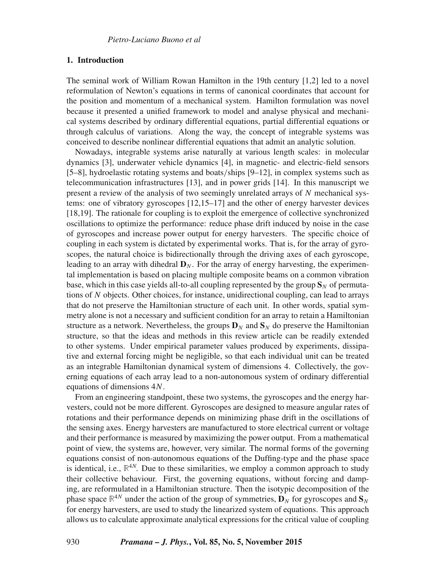# **1. Introduction**

The seminal work of William Rowan Hamilton in the 19th century [1,2] led to a novel reformulation of Newton's equations in terms of canonical coordinates that account for the position and momentum of a mechanical system. Hamilton formulation was novel because it presented a unified framework to model and analyse physical and mechanical systems described by ordinary differential equations, partial differential equations or through calculus of variations. Along the way, the concept of integrable systems was conceived to describe nonlinear differential equations that admit an analytic solution.

Nowadays, integrable systems arise naturally at various length scales: in molecular dynamics [3], underwater vehicle dynamics [4], in magnetic- and electric-field sensors [5–8], hydroelastic rotating systems and boats/ships [9–12], in complex systems such as telecommunication infrastructures [13], and in power grids [14]. In this manuscript we present a review of the analysis of two seemingly unrelated arrays of  $N$  mechanical systems: one of vibratory gyroscopes [12,15–17] and the other of energy harvester devices [18,19]. The rationale for coupling is to exploit the emergence of collective synchronized oscillations to optimize the performance: reduce phase drift induced by noise in the case of gyroscopes and increase power output for energy harvesters. The specific choice of coupling in each system is dictated by experimental works. That is, for the array of gyroscopes, the natural choice is bidirectionally through the driving axes of each gyroscope, leading to an array with dihedral  $\mathbf{D}_N$ . For the array of energy harvesting, the experimental implementation is based on placing multiple composite beams on a common vibration base, which in this case yields all-to-all coupling represented by the group  $S_N$  of permutations of N objects. Other choices, for instance, unidirectional coupling, can lead to arrays that do not preserve the Hamiltonian structure of each unit. In other words, spatial symmetry alone is not a necessary and sufficient condition for an array to retain a Hamiltonian structure as a network. Nevertheless, the groups  $\mathbf{D}_N$  and  $\mathbf{S}_N$  do preserve the Hamiltonian structure, so that the ideas and methods in this review article can be readily extended to other systems. Under empirical parameter values produced by experiments, dissipative and external forcing might be negligible, so that each individual unit can be treated as an integrable Hamiltonian dynamical system of dimensions 4. Collectively, the governing equations of each array lead to a non-autonomous system of ordinary differential equations of dimensions 4N.

From an engineering standpoint, these two systems, the gyroscopes and the energy harvesters, could not be more different. Gyroscopes are designed to measure angular rates of rotations and their performance depends on minimizing phase drift in the oscillations of the sensing axes. Energy harvesters are manufactured to store electrical current or voltage and their performance is measured by maximizing the power output. From a mathematical point of view, the systems are, however, very similar. The normal forms of the governing equations consist of non-autonomous equations of the Duffing-type and the phase space is identical, i.e., **R** <sup>4</sup><sup>N</sup>. Due to these similarities, we employ a common approach to study their collective behaviour. First, the governing equations, without forcing and damping, are reformulated in a Hamiltonian structure. Then the isotypic decomposition of the phase space  $\mathbb{R}^{4N}$  under the action of the group of symmetries,  $\mathbf{D}_N$  for gyroscopes and  $\mathbf{S}_N$ for energy harvesters, are used to study the linearized system of equations. This approach allows us to calculate approximate analytical expressions for the critical value of coupling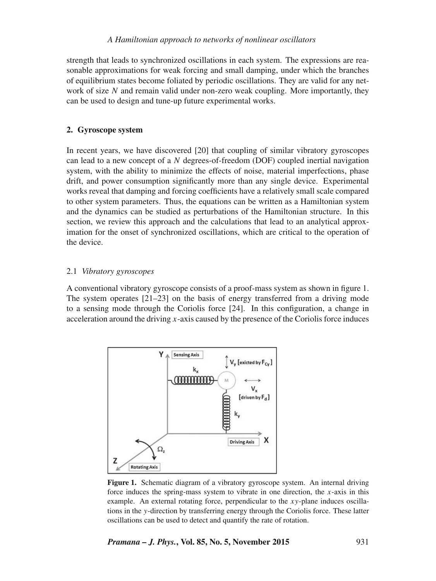# *A Hamiltonian approach to networks of nonlinear oscillators*

strength that leads to synchronized oscillations in each system. The expressions are reasonable approximations for weak forcing and small damping, under which the branches of equilibrium states become foliated by periodic oscillations. They are valid for any network of size  $N$  and remain valid under non-zero weak coupling. More importantly, they can be used to design and tune-up future experimental works.

# **2. Gyroscope system**

In recent years, we have discovered [20] that coupling of similar vibratory gyroscopes can lead to a new concept of a N degrees-of-freedom (DOF) coupled inertial navigation system, with the ability to minimize the effects of noise, material imperfections, phase drift, and power consumption significantly more than any single device. Experimental works reveal that damping and forcing coefficients have a relatively small scale compared to other system parameters. Thus, the equations can be written as a Hamiltonian system and the dynamics can be studied as perturbations of the Hamiltonian structure. In this section, we review this approach and the calculations that lead to an analytical approximation for the onset of synchronized oscillations, which are critical to the operation of the device.

#### 2.1 *Vibratory gyroscopes*

A conventional vibratory gyroscope consists of a proof-mass system as shown in figure 1. The system operates [21–23] on the basis of energy transferred from a driving mode to a sensing mode through the Coriolis force [24]. In this configuration, a change in acceleration around the driving  $x$ -axis caused by the presence of the Coriolis force induces



**Figure 1.** Schematic diagram of a vibratory gyroscope system. An internal driving force induces the spring-mass system to vibrate in one direction, the  $x$ -axis in this example. An external rotating force, perpendicular to the  $xy$ -plane induces oscillations in the y-direction by transferring energy through the Coriolis force. These latter oscillations can be used to detect and quantify the rate of rotation.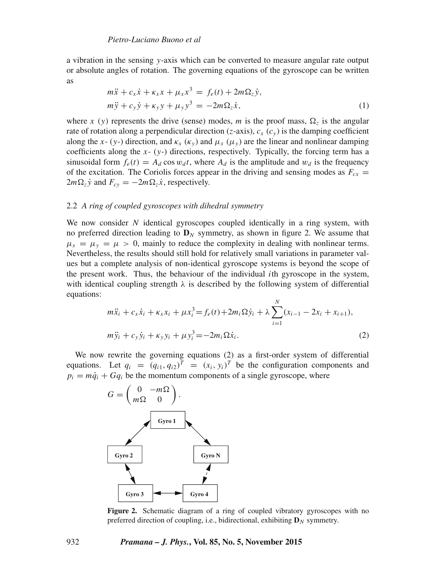a vibration in the sensing y-axis which can be converted to measure angular rate output or absolute angles of rotation. The governing equations of the gyroscope can be written as

$$
m\ddot{x} + c_x \dot{x} + \kappa_x x + \mu_x x^3 = f_e(t) + 2m\Omega_z \dot{y},
$$
  
\n
$$
m\ddot{y} + c_y \dot{y} + \kappa_y y + \mu_y y^3 = -2m\Omega_z \dot{x},
$$
\n(1)

where x (y) represents the drive (sense) modes, m is the proof mass,  $\Omega_z$  is the angular rate of rotation along a perpendicular direction (z-axis),  $c_x$  ( $c_y$ ) is the damping coefficient along the x- (y-) direction, and  $\kappa_{x}$  ( $\kappa_{y}$ ) and  $\mu_{x}$  ( $\mu_{y}$ ) are the linear and nonlinear damping coefficients along the  $x- (y-)$  directions, respectively. Typically, the forcing term has a sinusoidal form  $f_e(t) = A_d \cos w_d t$ , where  $A_d$  is the amplitude and  $w_d$  is the frequency of the excitation. The Coriolis forces appear in the driving and sensing modes as  $F_{cx}$  =  $2m\Omega_z \dot{y}$  and  $F_{cy} = -2m\Omega_z \dot{x}$ , respectively.

# 2.2 *A ring of coupled gyroscopes with dihedral symmetry*

We now consider  $N$  identical gyroscopes coupled identically in a ring system, with no preferred direction leading to  $\mathbf{D}_N$  symmetry, as shown in figure 2. We assume that  $\mu_x = \mu_y = \mu > 0$ , mainly to reduce the complexity in dealing with nonlinear terms. Nevertheless, the results should still hold for relatively small variations in parameter values but a complete analysis of non-identical gyroscope systems is beyond the scope of the present work. Thus, the behaviour of the individual ith gyroscope in the system, with identical coupling strength  $\lambda$  is described by the following system of differential equations:

$$
m\ddot{x}_i + c_x \dot{x}_i + \kappa_x x_i + \mu x_i^3 = f_e(t) + 2m_i \Omega \dot{y}_i + \lambda \sum_{i=1}^N (x_{i-1} - 2x_i + x_{i+1}),
$$
  
\n
$$
m\ddot{y}_i + c_y \dot{y}_i + \kappa_y y_i + \mu y_i^3 = -2m_i \Omega \dot{x}_i.
$$
\n(2)

We now rewrite the governing equations (2) as a first-order system of differential equations. Let  $q_i = (q_{i1}, q_{i2})^T = (x_i, y_i)^T$  be the configuration components and  $p_i = m\dot{q}_i + Gq_i$  be the momentum components of a single gyroscope, where



**Figure 2.** Schematic diagram of a ring of coupled vibratory gyroscopes with no preferred direction of coupling, i.e., bidirectional, exhibiting  $D_N$  symmetry.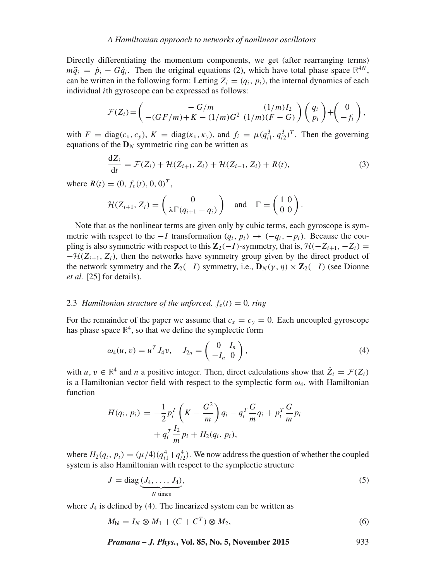Directly differentiating the momentum components, we get (after rearranging terms)  $m\ddot{q}_i = \dot{p}_i - G\dot{q}_i$ . Then the original equations (2), which have total phase space  $\mathbb{R}^{4N}$ , can be written in the following form: Letting  $Z_i = (q_i, p_i)$ , the internal dynamics of each individual ith gyroscope can be expressed as follows:

$$
\mathcal{F}(Z_i) = \begin{pmatrix} -G/m & (1/m)I_2 \\ -(GF/m)+K-(1/m)G^2 & (1/m)(F-G) \end{pmatrix} \begin{pmatrix} q_i \\ p_i \end{pmatrix} + \begin{pmatrix} 0 \\ -f_i \end{pmatrix},
$$

with  $F = \text{diag}(c_x, c_y)$ ,  $K = \text{diag}(\kappa_x, \kappa_y)$ , and  $f_i = \mu(q_{i1}^3, q_{i2}^3)^T$ . Then the governing equations of the  $D_N$  symmetric ring can be written as

$$
\frac{dZ_i}{dt} = \mathcal{F}(Z_i) + \mathcal{H}(Z_{i+1}, Z_i) + \mathcal{H}(Z_{i-1}, Z_i) + R(t),
$$
\n(3)

where  $R(t) = (0, f_e(t), 0, 0)^T$ ,

$$
\mathcal{H}(Z_{i+1}, Z_i) = \begin{pmatrix} 0 \\ \lambda \Gamma(q_{i+1} - q_i) \end{pmatrix} \text{ and } \Gamma = \begin{pmatrix} 1 & 0 \\ 0 & 0 \end{pmatrix}.
$$

Note that as the nonlinear terms are given only by cubic terms, each gyroscope is symmetric with respect to the  $-I$  transformation  $(q_i, p_i)$  →  $(-q_i, -p_i)$ . Because the coupling is also symmetric with respect to this  $\mathbb{Z}_2(-I)$ -symmetry, that is,  $\mathcal{H}(-Z_{i+1}, -Z_i)$  =  $-\mathcal{H}(Z_{i+1}, Z_i)$ , then the networks have symmetry group given by the direct product of the network symmetry and the  $\mathbb{Z}_2(-I)$  symmetry, i.e.,  $\mathbf{D}_N(\gamma, \eta) \times \mathbb{Z}_2(-I)$  (see Dionne *et al.* [25] for details).

# 2.3 *Hamiltonian structure of the unforced,*  $f_e(t) = 0$ *, ring*

For the remainder of the paper we assume that  $c_x = c_y = 0$ . Each uncoupled gyroscope has phase space  $\mathbb{R}^4$ , so that we define the symplectic form

$$
\omega_4(u, v) = u^T J_4 v, \quad J_{2n} = \begin{pmatrix} 0 & I_n \\ -I_n & 0 \end{pmatrix}, \tag{4}
$$

with  $u, v \in \mathbb{R}^4$  and *n* a positive integer. Then, direct calculations show that  $\dot{Z}_i = \mathcal{F}(Z_i)$ is a Hamiltonian vector field with respect to the symplectic form  $\omega_4$ , with Hamiltonian function

$$
H(q_i, p_i) = -\frac{1}{2} p_i^T \left( K - \frac{G^2}{m} \right) q_i - q_i^T \frac{G}{m} q_i + p_i^T \frac{G}{m} p_i
$$
  
+  $q_i^T \frac{I_2}{m} p_i + H_2(q_i, p_i),$ 

where  $H_2(q_i, p_i) = (\mu/4)(q_{i1}^4 + q_{i2}^4)$ . We now address the question of whether the coupled system is also Hamiltonian with respect to the symplectic structure

$$
J = \text{diag}\underbrace{(J_4, \dots, J_4)}_{N \text{ times}},\tag{5}
$$

where  $J_4$  is defined by (4). The linearized system can be written as

$$
M_{\text{bi}} = I_N \otimes M_1 + (C + C^T) \otimes M_2,\tag{6}
$$

*Pramana – J. Phys.***, Vol. 85, No. 5, November 2015** 933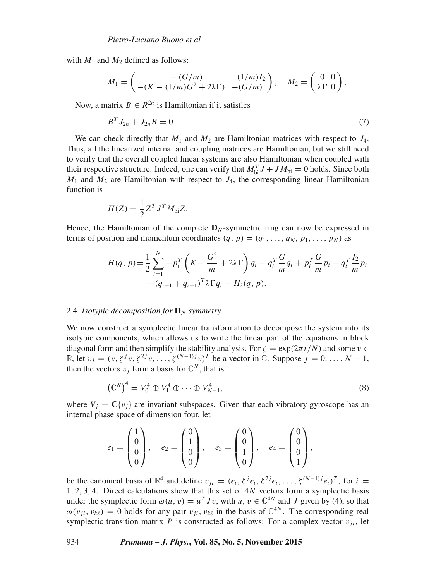with  $M_1$  and  $M_2$  defined as follows:

$$
M_1 = \begin{pmatrix} -(G/m) & (1/m)I_2 \\ -(K - (1/m)G^2 + 2\lambda \Gamma) & -(G/m) \end{pmatrix}, \quad M_2 = \begin{pmatrix} 0 & 0 \\ \lambda \Gamma & 0 \end{pmatrix},
$$

Now, a matrix  $B \in R^{2n}$  is Hamiltonian if it satisfies

$$
B^T J_{2n} + J_{2n} B = 0. \tag{7}
$$

We can check directly that  $M_1$  and  $M_2$  are Hamiltonian matrices with respect to  $J_4$ . Thus, all the linearized internal and coupling matrices are Hamiltonian, but we still need to verify that the overall coupled linear systems are also Hamiltonian when coupled with their respective structure. Indeed, one can verify that  $M_{bi}^T J + J M_{bi} = 0$  holds. Since both  $M_1$  and  $M_2$  are Hamiltonian with respect to  $J_4$ , the corresponding linear Hamiltonian function is

$$
H(Z) = \frac{1}{2} Z^T J^T M_{bi} Z.
$$

Hence, the Hamiltonian of the complete  $D_N$ -symmetric ring can now be expressed in terms of position and momentum coordinates  $(q, p) = (q_1, \ldots, q_N, p_1, \ldots, p_N)$  as

$$
H(q, p) = \frac{1}{2} \sum_{i=1}^{N} -p_i^T \left( K - \frac{G^2}{m} + 2\lambda \Gamma \right) q_i - q_i^T \frac{G}{m} q_i + p_i^T \frac{G}{m} p_i + q_i^T \frac{I_2}{m} p_i
$$
  
-  $(q_{i+1} + q_{i-1})^T \lambda \Gamma q_i + H_2(q, p).$ 

#### 2.4 *Isotypic decomposition for*  $\mathbf{D}_N$  *symmetry*

We now construct a symplectic linear transformation to decompose the system into its isotypic components, which allows us to write the linear part of the equations in block diagonal form and then simplify the stability analysis. For  $\zeta = \exp(2\pi i/N)$  and some  $v \in$ **R**, let  $v_j = (v, \zeta^j v, \zeta^{2j} v, \ldots, \zeta^{(N-1)j} v)^T$  be a vector in  $\mathbb{C}$ . Suppose  $j = 0, \ldots, N-1$ , then the vectors  $v_j$  form a basis for  $\mathbb{C}^N$ , that is

$$
\left(\mathbb{C}^N\right)^4 = V_0^4 \oplus V_1^4 \oplus \cdots \oplus V_{N-1}^4,\tag{8}
$$

where  $V_j = C\{v_j\}$  are invariant subspaces. Given that each vibratory gyroscope has an internal phase space of dimension four, let

$$
e_1 = \begin{pmatrix} 1 \\ 0 \\ 0 \\ 0 \end{pmatrix}, e_2 = \begin{pmatrix} 0 \\ 1 \\ 0 \\ 0 \end{pmatrix}, e_3 = \begin{pmatrix} 0 \\ 0 \\ 1 \\ 0 \end{pmatrix}, e_4 = \begin{pmatrix} 0 \\ 0 \\ 0 \\ 1 \end{pmatrix},
$$

be the canonical basis of  $\mathbb{R}^4$  and define  $v_{ji} = (e_i, \zeta^j e_i, \zeta^{2j} e_i, \dots, \zeta^{(N-1)j} e_i)^T$ , for  $i =$  $1, 2, 3, 4$ . Direct calculations show that this set of  $4N$  vectors form a symplectic basis under the symplectic form  $\omega(u, v) = u^T J v$ , with  $u, v \in \mathbb{C}^{4N}$  and J given by (4), so that  $\omega(v_{ji}, v_{k\ell}) = 0$  holds for any pair  $v_{ji}$ ,  $v_{k\ell}$  in the basis of  $\mathbb{C}^{4N}$ . The corresponding real symplectic transition matrix P is constructed as follows: For a complex vector  $v_{ii}$ , let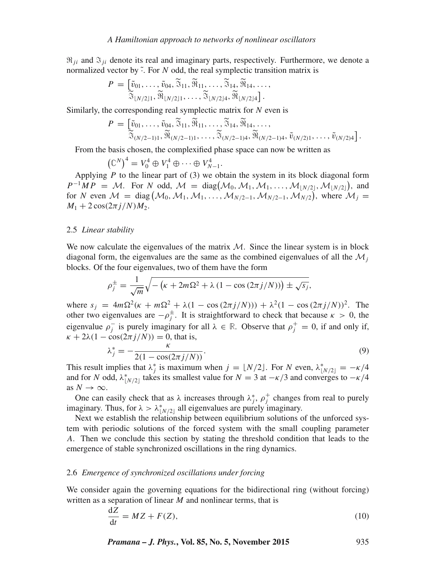$\Re_{ij}$  and  $\Im_{ij}$  denote its real and imaginary parts, respectively. Furthermore, we denote a normalized vector by  $\tilde{\cdot}$ . For N odd, the real symplectic transition matrix is

$$
P = \left[\begin{matrix} \tilde{v}_{01}, \ldots, \tilde{v}_{04}, \tilde{\mathbb{S}}_{11}, \tilde{\mathbb{M}}_{11}, \ldots, \tilde{\mathbb{S}}_{14}, \tilde{\mathbb{M}}_{14}, \ldots, \\ \tilde{\mathbb{S}}_{\lfloor N/2 \rfloor 1}, \tilde{\mathbb{M}}_{\lfloor N/2 \rfloor 1}, \ldots, \tilde{\mathbb{S}}_{\lfloor N/2 \rfloor 4}, \tilde{\mathbb{M}}_{\lfloor N/2 \rfloor 4}\right].\end{matrix}
$$

Similarly, the corresponding real symplectic matrix for  $N$  even is

$$
P = \left[\begin{matrix} \tilde{v}_{01}, \ldots, \tilde{v}_{04}, \tilde{\mathfrak{A}}_{11}, \tilde{\mathfrak{R}}_{11}, \ldots, \tilde{\mathfrak{A}}_{14}, \tilde{\mathfrak{R}}_{14}, \ldots, \\ \tilde{\mathfrak{A}}_{(N/2-1)1}, \tilde{\mathfrak{R}}_{(N/2-1)1}, \ldots, \tilde{\mathfrak{A}}_{(N/2-1)4}, \tilde{\mathfrak{R}}_{(N/2-1)4}, \tilde{v}_{(N/2)1}, \ldots, \tilde{v}_{(N/2)4} \end{matrix}\right].
$$

From the basis chosen, the complexified phase space can now be written as

$$
\left(\mathbb{C}^N\right)^4 = V_0^4 \oplus V_1^4 \oplus \cdots \oplus V_{N-1}^4.
$$

Applying  $P$  to the linear part of  $(3)$  we obtain the system in its block diagonal form  $P^{-1}MP = M$ . For N odd,  $M = diag(M_0, M_1, M_1, \dots, M_{\lfloor N/2 \rfloor}, M_{\lfloor N/2 \rfloor})$ , and for N even  $M = \text{diag}(\mathcal{M}_0, \mathcal{M}_1, \mathcal{M}_1, \dots, \mathcal{M}_{N/2-1}, \mathcal{M}_{N/2-1}, \mathcal{M}_{N/2})$ , where  $\mathcal{M}_j =$  $M_1 + 2 \cos(2\pi i/N) M_2$ .

# 2.5 *Linear stability*

We now calculate the eigenvalues of the matrix  $M$ . Since the linear system is in block diagonal form, the eigenvalues are the same as the combined eigenvalues of all the  $\mathcal{M}_i$ blocks. Of the four eigenvalues, two of them have the form

$$
\rho_j^{\pm} = \frac{1}{\sqrt{m}} \sqrt{-\left(\kappa + 2m\Omega^2 + \lambda\left(1 - \cos\left(2\pi j/N\right)\right)\right) \pm \sqrt{s_j}},
$$

where  $s_j = 4m\Omega^2(\kappa + m\Omega^2 + \lambda(1 - \cos(2\pi j/N))) + \lambda^2(1 - \cos(2\pi j/N))^2$ . The other two eigenvalues are  $-\rho_j^{\pm}$ . It is straightforward to check that because  $\kappa > 0$ , the eigenvalue  $\rho_j^-$  is purely imaginary for all  $\lambda \in \mathbb{R}$ . Observe that  $\rho_j^+ = 0$ , if and only if,  $\kappa + 2\lambda(1 - \cos(2\pi j/N)) = 0$ , that is,

$$
\lambda_j^* = -\frac{\kappa}{2(1 - \cos(2\pi j/N))}.
$$
\n(9)

This result implies that  $\lambda_j^*$  is maximum when  $j = \lfloor N/2 \rfloor$ . For N even,  $\lambda_{\lfloor N/2 \rfloor}^* = -\kappa/4$ and for N odd,  $\lambda^*_{\lfloor N/2 \rfloor}$  takes its smallest value for  $N = 3$  at  $-\kappa/3$  and converges to  $-\kappa/4$ as  $N \to \infty$ .

One can easily check that as  $\lambda$  increases through  $\lambda_j^*$ ,  $\rho_j^+$  changes from real to purely imaginary. Thus, for  $\lambda > \lambda^*_{\lfloor N/2 \rfloor}$  all eigenvalues are purely imaginary.

Next we establish the relationship between equilibrium solutions of the unforced system with periodic solutions of the forced system with the small coupling parameter A. Then we conclude this section by stating the threshold condition that leads to the emergence of stable synchronized oscillations in the ring dynamics.

#### 2.6 *Emergence of synchronized oscillations under forcing*

We consider again the governing equations for the bidirectional ring (without forcing) written as a separation of linear  $M$  and nonlinear terms, that is

$$
\frac{\mathrm{d}Z}{\mathrm{d}t} = MZ + F(Z),\tag{10}
$$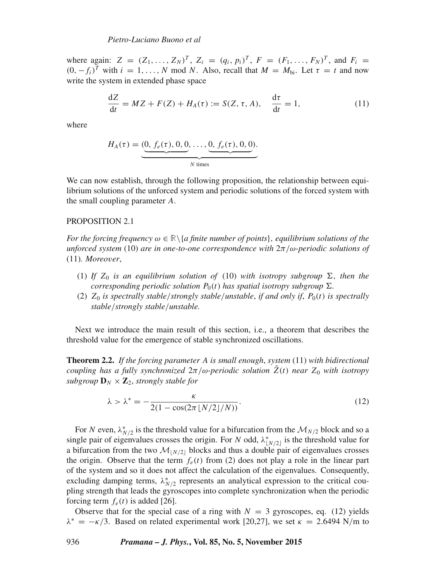where again:  $Z = (Z_1, ..., Z_N)^T$ ,  $Z_i = (q_i, p_i)^T$ ,  $F = (F_1, ..., F_N)^T$ , and  $F_i = (T_i, ..., T_N)^T$  $(0, -f_i)^T$  with  $i = 1, ..., N$  mod N. Also, recall that  $M = M_{bi}$ . Let  $\tau = t$  and now write the system in extended phase space

$$
\frac{\mathrm{d}Z}{\mathrm{d}t} = MZ + F(Z) + H_A(\tau) := S(Z, \tau, A), \quad \frac{\mathrm{d}\tau}{\mathrm{d}t} = 1,\tag{11}
$$

where

$$
H_A(\tau) = (\underbrace{0, f_e(\tau), 0, 0, \ldots, 0, f_e(\tau), 0, 0}_{N \text{ times}}).
$$

We can now establish, through the following proposition, the relationship between equilibrium solutions of the unforced system and periodic solutions of the forced system with the small coupling parameter A.

### PROPOSITION 2.1

*For the forcing frequency*  $\omega \in \mathbb{R} \setminus \{a \text{ finite number of points}\},$  *equilibrium solutions of the unforced system* (10) *are in one-to-one correspondence with* 2π/ω*-periodic solutions of* (11)*. Moreo*v*er*,

- (1) If  $Z_0$  *is an equilibrium solution of* (10) *with isotropy subgroup*  $\Sigma$ , *then the corresponding periodic solution*  $P_0(t)$  *has spatial isotropy subgroup*  $\Sigma$ *.*
- (2)  $Z_0$  *is spectrally stable/strongly stable/unstable, if and only if, P<sub>0</sub>(t) <i>is spectrally stable*/*strongly stable*/*unstable.*

Next we introduce the main result of this section, i.e., a theorem that describes the threshold value for the emergence of stable synchronized oscillations.

**Theorem 2.2.** *If the forcing parameter* A *is small enough*, *system* (11) *with bidirectional coupling has a fully synchronized*  $2\pi/\omega$ -periodic solution  $Z(t)$  near  $Z_0$  with isotropy *subgroup*  $\mathbf{D}_N \times \mathbf{Z}_2$ *, strongly stable for* 

$$
\lambda > \lambda^* = -\frac{\kappa}{2(1 - \cos(2\pi \lfloor N/2 \rfloor/N))}.
$$
 (12)

For N even,  $\lambda_{N/2}^*$  is the threshold value for a bifurcation from the  $\mathcal{M}_{N/2}$  block and so a single pair of eigenvalues crosses the origin. For N odd,  $\lambda_{[N/2]}^*$  is the threshold value for a bifurcation from the two  $\mathcal{M}_{N/2}$  blocks and thus a double pair of eigenvalues crosses the origin. Observe that the term  $f_e(t)$  from (2) does not play a role in the linear part of the system and so it does not affect the calculation of the eigenvalues. Consequently, excluding damping terms,  $\lambda_{N/2}^*$  represents an analytical expression to the critical coupling strength that leads the gyroscopes into complete synchronization when the periodic forcing term  $f_e(t)$  is added [26].

Observe that for the special case of a ring with  $N = 3$  gyroscopes, eq. (12) yields  $\lambda^* = -\kappa/3$ . Based on related experimental work [20,27], we set  $\kappa = 2.6494$  N/m to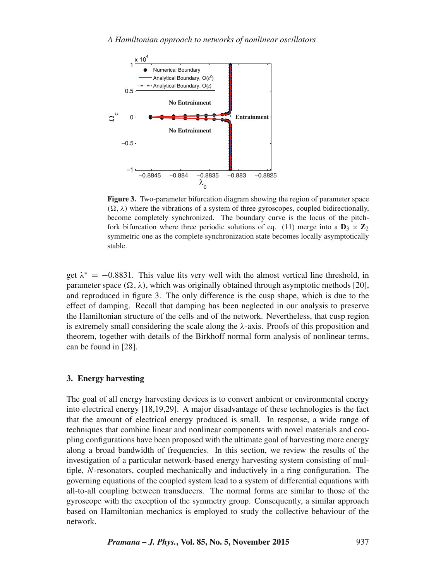

**Figure 3.** Two-parameter bifurcation diagram showing the region of parameter space  $(\Omega, \lambda)$  where the vibrations of a system of three gyroscopes, coupled bidirectionally, become completely synchronized. The boundary curve is the locus of the pitchfork bifurcation where three periodic solutions of eq. (11) merge into a  $D_3 \times Z_2$ symmetric one as the complete synchronization state becomes locally asymptotically stable.

get  $\lambda^* = -0.8831$ . This value fits very well with the almost vertical line threshold, in parameter space  $(\Omega, \lambda)$ , which was originally obtained through asymptotic methods [20], and reproduced in figure 3. The only difference is the cusp shape, which is due to the effect of damping. Recall that damping has been neglected in our analysis to preserve the Hamiltonian structure of the cells and of the network. Nevertheless, that cusp region is extremely small considering the scale along the λ-axis. Proofs of this proposition and theorem, together with details of the Birkhoff normal form analysis of nonlinear terms, can be found in [28].

# **3. Energy harvesting**

The goal of all energy harvesting devices is to convert ambient or environmental energy into electrical energy [18,19,29]. A major disadvantage of these technologies is the fact that the amount of electrical energy produced is small. In response, a wide range of techniques that combine linear and nonlinear components with novel materials and coupling configurations have been proposed with the ultimate goal of harvesting more energy along a broad bandwidth of frequencies. In this section, we review the results of the investigation of a particular network-based energy harvesting system consisting of multiple, N-resonators, coupled mechanically and inductively in a ring configuration. The governing equations of the coupled system lead to a system of differential equations with all-to-all coupling between transducers. The normal forms are similar to those of the gyroscope with the exception of the symmetry group. Consequently, a similar approach based on Hamiltonian mechanics is employed to study the collective behaviour of the network.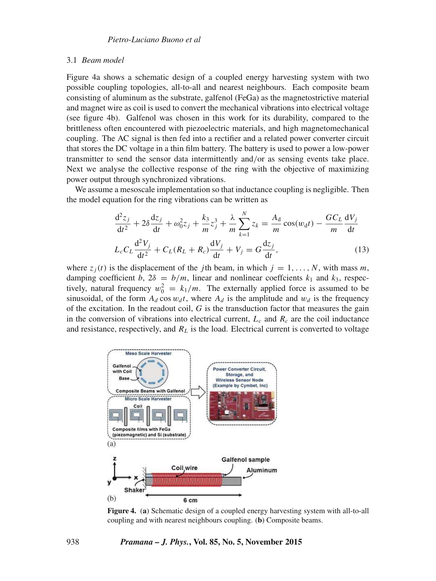#### 3.1 *Beam model*

Figure 4a shows a schematic design of a coupled energy harvesting system with two possible coupling topologies, all-to-all and nearest neighbours. Each composite beam consisting of aluminum as the substrate, galfenol (FeGa) as the magnetostrictive material and magnet wire as coil is used to convert the mechanical vibrations into electrical voltage (see figure 4b). Galfenol was chosen in this work for its durability, compared to the brittleness often encountered with piezoelectric materials, and high magnetomechanical coupling. The AC signal is then fed into a rectifier and a related power converter circuit that stores the DC voltage in a thin film battery. The battery is used to power a low-power transmitter to send the sensor data intermittently and/or as sensing events take place. Next we analyse the collective response of the ring with the objective of maximizing power output through synchronized vibrations.

We assume a mesoscale implementation so that inductance coupling is negligible. Then the model equation for the ring vibrations can be written as

$$
\frac{d^2 z_j}{dt^2} + 2\delta \frac{dz_j}{dt} + \omega_0^2 z_j + \frac{k_3}{m} z_j^3 + \frac{\lambda}{m} \sum_{k=1}^N z_k = \frac{A_d}{m} \cos(w_d t) - \frac{G C_L}{m} \frac{dV_j}{dt}
$$
  

$$
L_c C_L \frac{d^2 V_j}{dt^2} + C_L (R_L + R_c) \frac{dV_j}{dt} + V_j = G \frac{dz_j}{dt},
$$
 (13)

where  $z_j(t)$  is the displacement of the *j*th beam, in which  $j = 1, \ldots, N$ , with mass m, damping coefficient b,  $2\delta = b/m$ , linear and nonlinear coeffcients  $k_1$  and  $k_3$ , respectively, natural frequency  $w_0^2 = k_1/m$ . The externally applied force is assumed to be sinusoidal, of the form  $A_d \cos w_d t$ , where  $A_d$  is the amplitude and  $w_d$  is the frequency of the excitation. In the readout coil,  $G$  is the transduction factor that measures the gain in the conversion of vibrations into electrical current,  $L_c$  and  $R_c$  are the coil inductance and resistance, respectively, and  $R_L$  is the load. Electrical current is converted to voltage



**Figure 4.** (**a**) Schematic design of a coupled energy harvesting system with all-to-all coupling and with nearest neighbours coupling. (**b**) Composite beams.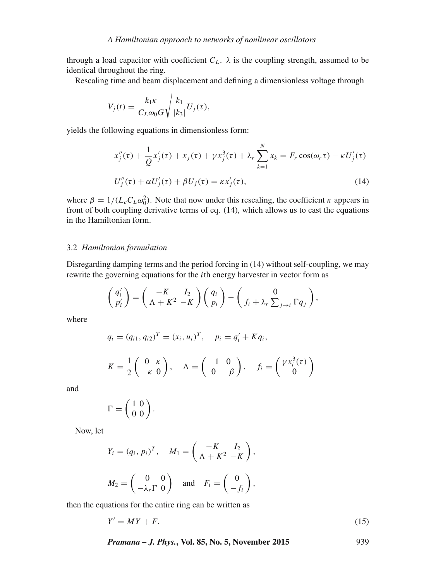through a load capacitor with coefficient  $C_L$ .  $\lambda$  is the coupling strength, assumed to be identical throughout the ring.

Rescaling time and beam displacement and defining a dimensionless voltage through

$$
V_j(t) = \frac{k_1 \kappa}{C_L \omega_0 G} \sqrt{\frac{k_1}{|k_3|}} U_j(\tau),
$$

yields the following equations in dimensionless form:

$$
x''_j(\tau) + \frac{1}{Q}x'_j(\tau) + x_j(\tau) + \gamma x_j^3(\tau) + \lambda_r \sum_{k=1}^N x_k = F_r \cos(\omega_r \tau) - \kappa U'_j(\tau)
$$
  

$$
U''_j(\tau) + \alpha U'_j(\tau) + \beta U_j(\tau) = \kappa x'_j(\tau),
$$
 (14)

where  $\beta = 1/(L_c C_L \omega_0^2)$ . Note that now under this rescaling, the coefficient  $\kappa$  appears in front of both coupling derivative terms of eq. (14), which allows us to cast the equations in the Hamiltonian form.

# 3.2 *Hamiltonian formulation*

Disregarding damping terms and the period forcing in (14) without self-coupling, we may rewrite the governing equations for the ith energy harvester in vector form as

$$
\begin{pmatrix} q_i' \\ p_i' \end{pmatrix} = \begin{pmatrix} -K & I_2 \\ \Lambda + K^2 & -K \end{pmatrix} \begin{pmatrix} q_i \\ p_i \end{pmatrix} - \begin{pmatrix} 0 \\ f_i + \lambda_r \sum_{j \to i} \Gamma q_j \end{pmatrix},
$$

where

$$
q_i = (q_{i1}, q_{i2})^T = (x_i, u_i)^T, \quad p_i = q'_i + Kq_i,
$$

$$
K = \frac{1}{2} \begin{pmatrix} 0 & \kappa \\ -\kappa & 0 \end{pmatrix}, \quad \Lambda = \begin{pmatrix} -1 & 0 \\ 0 & -\beta \end{pmatrix}, \quad f_i = \begin{pmatrix} \gamma x_i^3(\tau) \\ 0 \end{pmatrix}
$$

and

$$
\Gamma = \left(\begin{array}{cc} 1 \ 0 \\ 0 \ 0 \\ \end{array}\right).
$$

Now, let

$$
Y_i = (q_i, p_i)^T, \quad M_1 = \begin{pmatrix} -K & I_2 \\ \Lambda + K^2 - K \end{pmatrix},
$$

$$
M_2 = \begin{pmatrix} 0 & 0 \\ -\lambda_r \Gamma & 0 \end{pmatrix} \quad \text{and} \quad F_i = \begin{pmatrix} 0 \\ -f_i \end{pmatrix},
$$

then the equations for the entire ring can be written as

$$
Y' = MY + F,\tag{15}
$$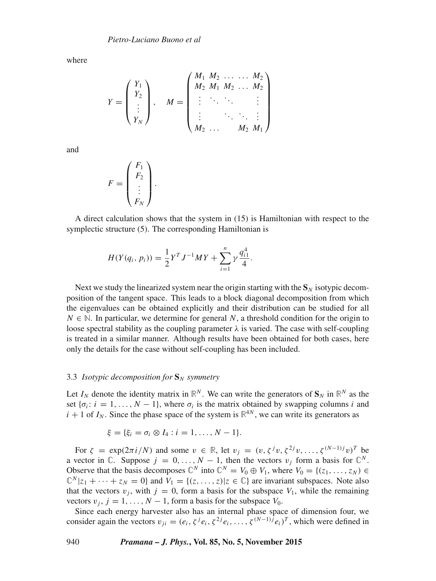where

$$
Y = \begin{pmatrix} Y_1 \\ Y_2 \\ \vdots \\ Y_N \end{pmatrix}, \quad M = \begin{pmatrix} M_1 & M_2 & \dots & M_2 \\ M_2 & M_1 & M_2 & \dots & M_2 \\ \vdots & \ddots & \ddots & & \vdots \\ \vdots & & \ddots & \ddots & \vdots \\ M_2 & \dots & M_2 & M_1 \end{pmatrix}
$$

and

$$
F = \begin{pmatrix} F_1 \\ F_2 \\ \vdots \\ F_N \end{pmatrix}.
$$

A direct calculation shows that the system in (15) is Hamiltonian with respect to the symplectic structure (5). The corresponding Hamiltonian is

$$
H(Y(q_i, p_i)) = \frac{1}{2} Y^T J^{-1} M Y + \sum_{i=1}^n \gamma \frac{q_{i1}^4}{4}.
$$

Next we study the linearized system near the origin starting with the  $S_N$  isotypic decomposition of the tangent space. This leads to a block diagonal decomposition from which the eigenvalues can be obtained explicitly and their distribution can be studied for all  $N \in \mathbb{N}$ . In particular, we determine for general N, a threshold condition for the origin to loose spectral stability as the coupling parameter  $\lambda$  is varied. The case with self-coupling is treated in a similar manner. Although results have been obtained for both cases, here only the details for the case without self-coupling has been included.

# 3.3 *Isotypic decomposition for*  $S_N$  *symmetry*

Let  $I_N$  denote the identity matrix in  $\mathbb{R}^N$ . We can write the generators of  $\mathbf{S}_N$  in  $\mathbb{R}^N$  as the set  $\{\sigma_i: i = 1, ..., N - 1\}$ , where  $\sigma_i$  is the matrix obtained by swapping columns i and  $i + 1$  of  $I_N$ . Since the phase space of the system is  $\mathbb{R}^{4N}$ , we can write its generators as

$$
\xi = \{ \xi_i = \sigma_i \otimes I_4 : i = 1, ..., N - 1 \}.
$$

For  $\zeta = \exp(2\pi i/N)$  and some  $v \in \mathbb{R}$ , let  $v_i = (v, \zeta^j v, \zeta^{2j} v, \dots, \zeta^{(N-1)j} v)^T$  be a vector in  $\mathbb{C}$ . Suppose  $j = 0, ..., N - 1$ , then the vectors  $v_j$  form a basis for  $\mathbb{C}^N$ . Observe that the basis decomposes  $\mathbb{C}^N$  into  $\mathbb{C}^N = V_0 \oplus V_1$ , where  $V_0 = \{(z_1, \ldots, z_N) \in \mathbb{C}^N\}$  $\mathbb{C}^N |z_1 + \cdots + z_N = 0$  and  $V_1 = \{(z, \ldots, z) | z \in \mathbb{C} \}$  are invariant subspaces. Note also that the vectors  $v_j$ , with  $j = 0$ , form a basis for the subspace  $V_1$ , while the remaining vectors  $v_j$ ,  $j = 1, \ldots, N - 1$ , form a basis for the subspace  $V_0$ .

Since each energy harvester also has an internal phase space of dimension four, we consider again the vectors  $v_{ji} = (e_i, \zeta^j e_i, \zeta^{2j} e_i, \dots, \zeta^{(N-1)j} e_i)^T$ , which were defined in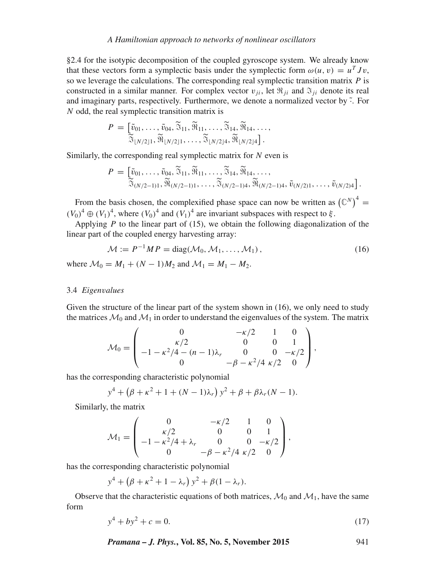#### *A Hamiltonian approach to networks of nonlinear oscillators*

§2.4 for the isotypic decomposition of the coupled gyroscope system. We already know that these vectors form a symplectic basis under the symplectic form  $\omega(u, v) = u^T J v$ , so we leverage the calculations. The corresponding real symplectic transition matrix  $P$  is constructed in a similar manner. For complex vector  $v_{ji}$ , let  $\Re_{ji}$  and  $\Im_{ji}$  denote its real and imaginary parts, respectively. Furthermore, we denote a normalized vector by  $\tilde{\cdot}$ . For N odd, the real symplectic transition matrix is

$$
P = \left[\begin{matrix} \tilde{v}_{01}, \ldots, \tilde{v}_{04}, \tilde{\mathbb{S}}_{11}, \tilde{\mathbb{M}}_{11}, \ldots, \tilde{\mathbb{S}}_{14}, \tilde{\mathbb{M}}_{14}, \ldots, \\ \tilde{\mathbb{S}}_{\lfloor N/2 \rfloor 1}, \tilde{\mathbb{M}}_{\lfloor N/2 \rfloor 1}, \ldots, \tilde{\mathbb{S}}_{\lfloor N/2 \rfloor 4}, \tilde{\mathbb{M}}_{\lfloor N/2 \rfloor 4}\right].\end{matrix}
$$

Similarly, the corresponding real symplectic matrix for  $N$  even is

$$
P = \left[\begin{matrix} \tilde{v}_{01}, \ldots, \tilde{v}_{04}, \tilde{\mathfrak{F}}_{11}, \tilde{\mathfrak{R}}_{11}, \ldots, \tilde{\mathfrak{F}}_{14}, \tilde{\mathfrak{R}}_{14}, \ldots, \\ \tilde{\mathfrak{F}}_{(N/2-1)1}, \tilde{\mathfrak{R}}_{(N/2-1)1}, \ldots, \tilde{\mathfrak{F}}_{(N/2-1)4}, \tilde{\mathfrak{R}}_{(N/2-1)4}, \tilde{v}_{(N/2)1}, \ldots, \tilde{v}_{(N/2)4} \end{matrix}\right].
$$

From the basis chosen, the complexified phase space can now be written as  $(\mathbb{C}^N)^4$  =  $(V_0)^4 \oplus (V_1)^4$ , where  $(V_0)^4$  and  $(V_1)^4$  are invariant subspaces with respect to  $\xi$ .

Applying  $P$  to the linear part of (15), we obtain the following diagonalization of the linear part of the coupled energy harvesting array:

$$
\mathcal{M} := P^{-1}MP = \text{diag}(\mathcal{M}_0, \mathcal{M}_1, \dots, \mathcal{M}_1), \tag{16}
$$

where  $M_0 = M_1 + (N - 1)M_2$  and  $M_1 = M_1 - M_2$ .

# 3.4 *Eigen*v*alues*

Given the structure of the linear part of the system shown in (16), we only need to study the matrices  $\mathcal{M}_0$  and  $\mathcal{M}_1$  in order to understand the eigenvalues of the system. The matrix

$$
\mathcal{M}_0 = \begin{pmatrix}\n0 & -\kappa/2 & 1 & 0 \\
\kappa/2 & 0 & 0 & 1 \\
-1 - \kappa^2/4 - (n-1)\lambda_r & 0 & 0 & -\kappa/2 \\
0 & -\beta - \kappa^2/4 & \kappa/2 & 0\n\end{pmatrix},
$$

has the corresponding characteristic polynomial

$$
y^4 + (\beta + \kappa^2 + 1 + (N - 1)\lambda_r) y^2 + \beta + \beta \lambda_r (N - 1).
$$

Similarly, the matrix

$$
\mathcal{M}_1 = \begin{pmatrix}\n0 & -\kappa/2 & 1 & 0 \\
\kappa/2 & 0 & 0 & 1 \\
-1 - \kappa^2/4 + \lambda_r & 0 & 0 & -\kappa/2 \\
0 & -\beta - \kappa^2/4 & \kappa/2 & 0\n\end{pmatrix},
$$

has the corresponding characteristic polynomial

$$
y^4 + (\beta + \kappa^2 + 1 - \lambda_r) y^2 + \beta (1 - \lambda_r).
$$

Observe that the characteristic equations of both matrices,  $\mathcal{M}_0$  and  $\mathcal{M}_1$ , have the same form

$$
y^4 + by^2 + c = 0.\t(17)
$$

*Pramana – J. Phys.***, Vol. 85, No. 5, November 2015** 941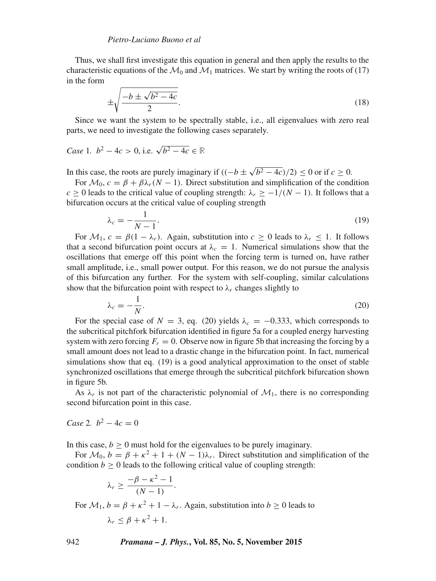Thus, we shall first investigate this equation in general and then apply the results to the characteristic equations of the  $\mathcal{M}_0$  and  $\mathcal{M}_1$  matrices. We start by writing the roots of (17) in the form

$$
\pm \sqrt{\frac{-b \pm \sqrt{b^2 - 4c}}{2}}.
$$
\n(18)

Since we want the system to be spectrally stable, i.e., all eigenvalues with zero real parts, we need to investigate the following cases separately.

Case 1. 
$$
b^2 - 4c > 0
$$
, i.e.  $\sqrt{b^2 - 4c} \in \mathbb{R}$ 

In this case, the roots are purely imaginary if  $((-b \pm \sqrt{b^2 - 4c})/2) \le 0$  or if  $c \ge 0$ .

For  $\mathcal{M}_0$ ,  $c = \beta + \beta \lambda_r (N - 1)$ . Direct substitution and simplification of the condition  $c \ge 0$  leads to the critical value of coupling strength:  $\lambda_r \ge -1/(N-1)$ . It follows that a bifurcation occurs at the critical value of coupling strength

$$
\lambda_c = -\frac{1}{N-1}.\tag{19}
$$

For  $M_1$ ,  $c = \beta(1 - \lambda_r)$ . Again, substitution into  $c \ge 0$  leads to  $\lambda_r \le 1$ . It follows that a second bifurcation point occurs at  $\lambda_c = 1$ . Numerical simulations show that the oscillations that emerge off this point when the forcing term is turned on, have rather small amplitude, i.e., small power output. For this reason, we do not pursue the analysis of this bifurcation any further. For the system with self-coupling, similar calculations show that the bifurcation point with respect to  $\lambda_r$  changes slightly to

$$
\lambda_c = -\frac{1}{N}.\tag{20}
$$

For the special case of  $N = 3$ , eq. (20) yields  $\lambda_c = -0.333$ , which corresponds to the subcritical pitchfork bifurcation identified in figure 5a for a coupled energy harvesting system with zero forcing  $F_r = 0$ . Observe now in figure 5b that increasing the forcing by a small amount does not lead to a drastic change in the bifurcation point. In fact, numerical simulations show that eq. (19) is a good analytical approximation to the onset of stable synchronized oscillations that emerge through the subcritical pitchfork bifurcation shown in figure 5b.

As  $\lambda_r$  is not part of the characteristic polynomial of  $\mathcal{M}_1$ , there is no corresponding second bifurcation point in this case.

*Case* 2*.*  $b^2 - 4c = 0$ 

In this case,  $b \ge 0$  must hold for the eigenvalues to be purely imaginary.

For  $M_0$ ,  $b = \beta + \kappa^2 + 1 + (N - 1)\lambda_r$ . Direct substitution and simplification of the condition  $b \ge 0$  leads to the following critical value of coupling strength:

$$
\lambda_r \geq \frac{-\beta - \kappa^2 - 1}{(N - 1)}.
$$

For  $\mathcal{M}_1, b = \beta + \kappa^2 + 1 - \lambda_r$ . Again, substitution into  $b \ge 0$  leads to  $\lambda_r \leq \beta + \kappa^2 + 1.$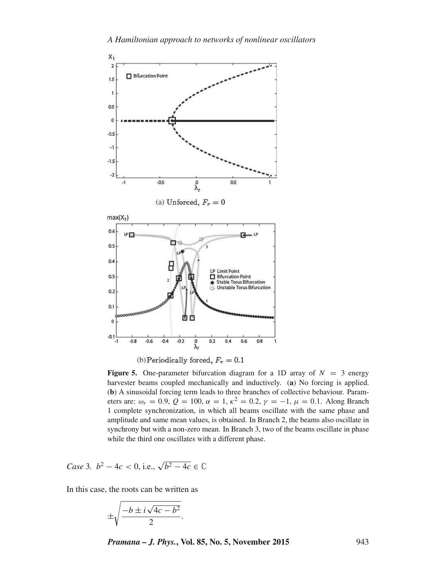

(b) Periodically forced,  $F_r = 0.1$ 

**Figure 5.** One-parameter bifurcation diagram for a 1D array of  $N = 3$  energy harvester beams coupled mechanically and inductively. (**a**) No forcing is applied. (**b**) A sinusoidal forcing term leads to three branches of collective behaviour. Parameters are:  $\omega_r = 0.9$ ,  $Q = 100$ ,  $\alpha = 1$ ,  $\kappa^2 = 0.2$ ,  $\gamma = -1$ ,  $\mu = 0.1$ . Along Branch 1 complete synchronization, in which all beams oscillate with the same phase and amplitude and same mean values, is obtained. In Branch 2, the beams also oscillate in synchrony but with a non-zero mean. In Branch 3, two of the beams oscillate in phase while the third one oscillates with a different phase.

Case 3. 
$$
b^2 - 4c < 0
$$
, i.e.,  $\sqrt{b^2 - 4c} \in \mathbb{C}$ 

In this case, the roots can be written as

$$
\pm \sqrt{\frac{-b \pm i \sqrt{4c - b^2}}{2}}.
$$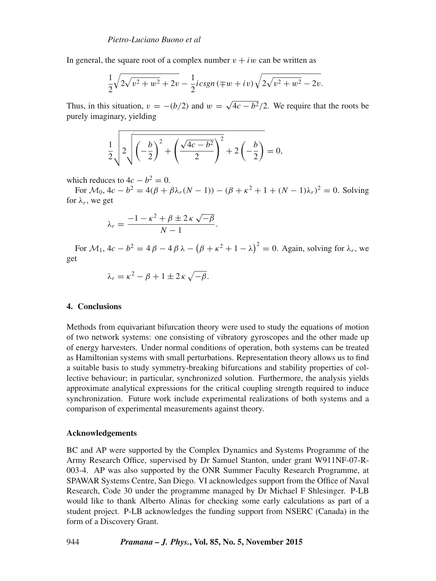In general, the square root of a complex number  $v + iw$  can be written as

$$
\frac{1}{2}\sqrt{2\sqrt{v^2+w^2}+2v}-\frac{1}{2}icsgn(\mp w + iv)\sqrt{2\sqrt{v^2+w^2}-2v}.
$$

Thus, in this situation,  $v = -(b/2)$  and  $w = \sqrt{4c - b^2}/2$ . We require that the roots be purely imaginary, yielding

$$
\frac{1}{2}\sqrt{2\sqrt{\left(-\frac{b}{2}\right)^2 + \left(\frac{\sqrt{4c - b^2}}{2}\right)^2} + 2\left(-\frac{b}{2}\right)} = 0,
$$

which reduces to  $4c - b^2 = 0$ .

For  $\mathcal{M}_0$ ,  $4c - b^2 = 4(\beta + \beta \lambda_r (N - 1)) - (\beta + \kappa^2 + 1 + (N - 1)\lambda_r)^2 = 0$ . Solving for  $\lambda_r$ , we get

$$
\lambda_r = \frac{-1 - \kappa^2 + \beta \pm 2\,\kappa\,\sqrt{-\beta}}{N-1}.
$$

For  $\mathcal{M}_1$ ,  $4c - b^2 = 4 \beta - 4 \beta \lambda - (\beta + \kappa^2 + 1 - \lambda)^2 = 0$ . Again, solving for  $\lambda_r$ , we get

$$
\lambda_r = \kappa^2 - \beta + 1 \pm 2\,\kappa\,\sqrt{-\beta}.
$$

# **4. Conclusions**

Methods from equivariant bifurcation theory were used to study the equations of motion of two network systems: one consisting of vibratory gyroscopes and the other made up of energy harvesters. Under normal conditions of operation, both systems can be treated as Hamiltonian systems with small perturbations. Representation theory allows us to find a suitable basis to study symmetry-breaking bifurcations and stability properties of collective behaviour; in particular, synchronized solution. Furthermore, the analysis yields approximate analytical expressions for the critical coupling strength required to induce synchronization. Future work include experimental realizations of both systems and a comparison of experimental measurements against theory.

# **Acknowledgements**

BC and AP were supported by the Complex Dynamics and Systems Programme of the Army Research Office, supervised by Dr Samuel Stanton, under grant W911NF-07-R-003-4. AP was also supported by the ONR Summer Faculty Research Programme, at SPAWAR Systems Centre, San Diego. VI acknowledges support from the Office of Naval Research, Code 30 under the programme managed by Dr Michael F Shlesinger. P-LB would like to thank Alberto Alinas for checking some early calculations as part of a student project. P-LB acknowledges the funding support from NSERC (Canada) in the form of a Discovery Grant.